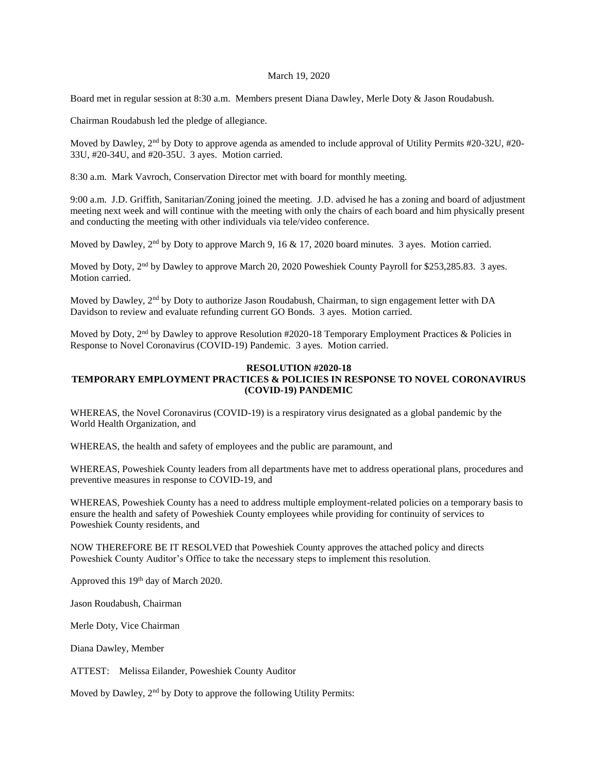### March 19, 2020

Board met in regular session at 8:30 a.m. Members present Diana Dawley, Merle Doty & Jason Roudabush.

Chairman Roudabush led the pledge of allegiance.

Moved by Dawley, 2<sup>nd</sup> by Doty to approve agenda as amended to include approval of Utility Permits #20-32U, #20-33U, #20-34U, and #20-35U. 3 ayes. Motion carried.

8:30 a.m. Mark Vavroch, Conservation Director met with board for monthly meeting.

9:00 a.m. J.D. Griffith, Sanitarian/Zoning joined the meeting. J.D. advised he has a zoning and board of adjustment meeting next week and will continue with the meeting with only the chairs of each board and him physically present and conducting the meeting with other individuals via tele/video conference.

Moved by Dawley,  $2<sup>nd</sup>$  by Doty to approve March 9, 16 & 17, 2020 board minutes. 3 ayes. Motion carried.

Moved by Doty, 2<sup>nd</sup> by Dawley to approve March 20, 2020 Poweshiek County Payroll for \$253,285.83. 3 ayes. Motion carried.

Moved by Dawley, 2<sup>nd</sup> by Doty to authorize Jason Roudabush, Chairman, to sign engagement letter with DA Davidson to review and evaluate refunding current GO Bonds. 3 ayes. Motion carried.

Moved by Doty, 2<sup>nd</sup> by Dawley to approve Resolution #2020-18 Temporary Employment Practices & Policies in Response to Novel Coronavirus (COVID-19) Pandemic. 3 ayes. Motion carried.

## **RESOLUTION #2020-18 TEMPORARY EMPLOYMENT PRACTICES & POLICIES IN RESPONSE TO NOVEL CORONAVIRUS (COVID-19) PANDEMIC**

WHEREAS, the Novel Coronavirus (COVID-19) is a respiratory virus designated as a global pandemic by the World Health Organization, and

WHEREAS, the health and safety of employees and the public are paramount, and

WHEREAS, Poweshiek County leaders from all departments have met to address operational plans, procedures and preventive measures in response to COVID-19, and

WHEREAS, Poweshiek County has a need to address multiple employment-related policies on a temporary basis to ensure the health and safety of Poweshiek County employees while providing for continuity of services to Poweshiek County residents, and

NOW THEREFORE BE IT RESOLVED that Poweshiek County approves the attached policy and directs Poweshiek County Auditor's Office to take the necessary steps to implement this resolution.

Approved this 19<sup>th</sup> day of March 2020.

Jason Roudabush, Chairman

Merle Doty, Vice Chairman

Diana Dawley, Member

ATTEST: Melissa Eilander, Poweshiek County Auditor

Moved by Dawley, 2<sup>nd</sup> by Doty to approve the following Utility Permits: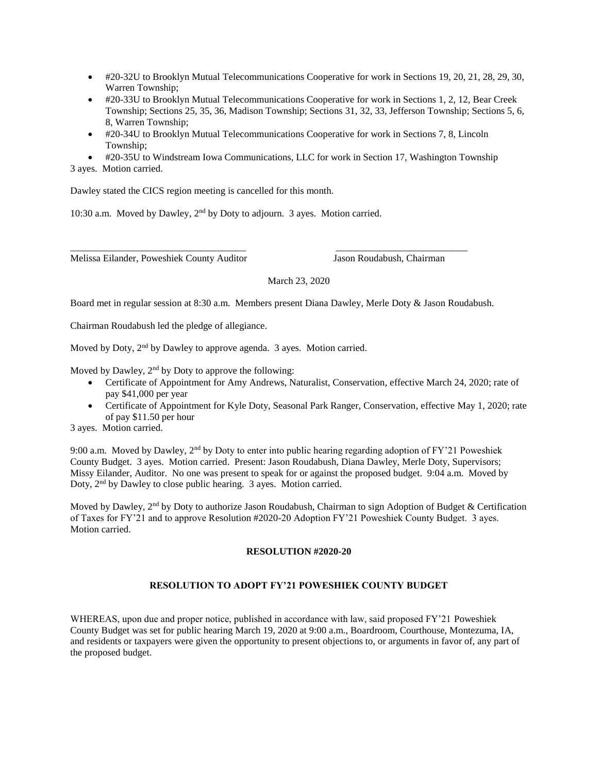- #20-32U to Brooklyn Mutual Telecommunications Cooperative for work in Sections 19, 20, 21, 28, 29, 30, Warren Township;
- #20-33U to Brooklyn Mutual Telecommunications Cooperative for work in Sections 1, 2, 12, Bear Creek Township; Sections 25, 35, 36, Madison Township; Sections 31, 32, 33, Jefferson Township; Sections 5, 6, 8, Warren Township;
- #20-34U to Brooklyn Mutual Telecommunications Cooperative for work in Sections 7, 8, Lincoln Township;
- #20-35U to Windstream Iowa Communications, LLC for work in Section 17, Washington Township
- 3 ayes. Motion carried.

Dawley stated the CICS region meeting is cancelled for this month.

10:30 a.m. Moved by Dawley, 2nd by Doty to adjourn. 3 ayes. Motion carried.

\_\_\_\_\_\_\_\_\_\_\_\_\_\_\_\_\_\_\_\_\_\_\_\_\_\_\_\_\_\_\_\_\_\_\_\_ \_\_\_\_\_\_\_\_\_\_\_\_\_\_\_\_\_\_\_\_\_\_\_\_\_\_\_ Melissa Eilander, Poweshiek County Auditor Jason Roudabush, Chairman

March 23, 2020

Board met in regular session at 8:30 a.m. Members present Diana Dawley, Merle Doty & Jason Roudabush.

Chairman Roudabush led the pledge of allegiance.

Moved by Doty, 2<sup>nd</sup> by Dawley to approve agenda. 3 ayes. Motion carried.

Moved by Dawley,  $2<sup>nd</sup>$  by Doty to approve the following:

- Certificate of Appointment for Amy Andrews, Naturalist, Conservation, effective March 24, 2020; rate of pay \$41,000 per year
- Certificate of Appointment for Kyle Doty, Seasonal Park Ranger, Conservation, effective May 1, 2020; rate of pay \$11.50 per hour

3 ayes. Motion carried.

9:00 a.m. Moved by Dawley,  $2<sup>nd</sup>$  by Doty to enter into public hearing regarding adoption of FY'21 Poweshiek County Budget. 3 ayes. Motion carried. Present: Jason Roudabush, Diana Dawley, Merle Doty, Supervisors; Missy Eilander, Auditor. No one was present to speak for or against the proposed budget. 9:04 a.m. Moved by Doty, 2<sup>nd</sup> by Dawley to close public hearing. 3 ayes. Motion carried.

Moved by Dawley, 2<sup>nd</sup> by Doty to authorize Jason Roudabush, Chairman to sign Adoption of Budget & Certification of Taxes for FY'21 and to approve Resolution #2020-20 Adoption FY'21 Poweshiek County Budget. 3 ayes. Motion carried.

### **RESOLUTION #2020-20**

# **RESOLUTION TO ADOPT FY'21 POWESHIEK COUNTY BUDGET**

WHEREAS, upon due and proper notice, published in accordance with law, said proposed FY'21 Poweshiek County Budget was set for public hearing March 19, 2020 at 9:00 a.m., Boardroom, Courthouse, Montezuma, IA, and residents or taxpayers were given the opportunity to present objections to, or arguments in favor of, any part of the proposed budget.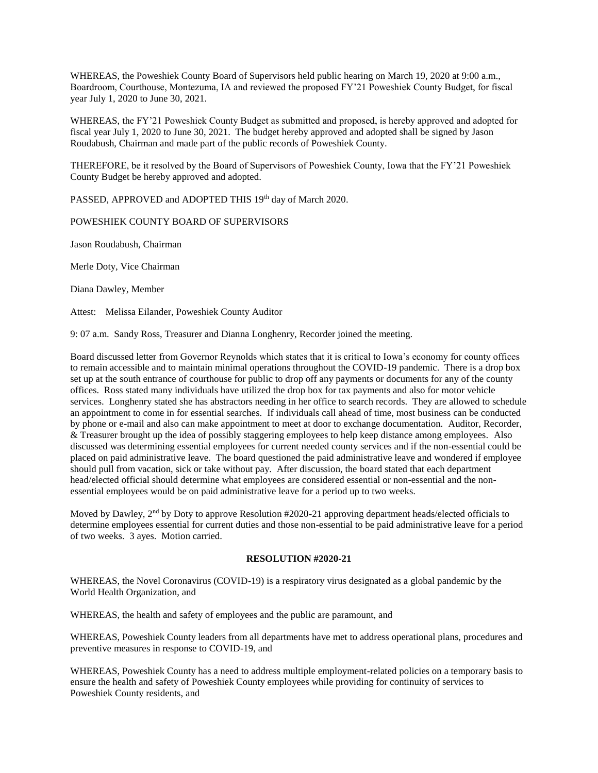WHEREAS, the Poweshiek County Board of Supervisors held public hearing on March 19, 2020 at 9:00 a.m., Boardroom, Courthouse, Montezuma, IA and reviewed the proposed FY'21 Poweshiek County Budget, for fiscal year July 1, 2020 to June 30, 2021.

WHEREAS, the FY'21 Poweshiek County Budget as submitted and proposed, is hereby approved and adopted for fiscal year July 1, 2020 to June 30, 2021. The budget hereby approved and adopted shall be signed by Jason Roudabush, Chairman and made part of the public records of Poweshiek County.

THEREFORE, be it resolved by the Board of Supervisors of Poweshiek County, Iowa that the FY'21 Poweshiek County Budget be hereby approved and adopted.

PASSED, APPROVED and ADOPTED THIS 19<sup>th</sup> day of March 2020.

POWESHIEK COUNTY BOARD OF SUPERVISORS

Jason Roudabush, Chairman

Merle Doty, Vice Chairman

Diana Dawley, Member

Attest: Melissa Eilander, Poweshiek County Auditor

9: 07 a.m. Sandy Ross, Treasurer and Dianna Longhenry, Recorder joined the meeting.

Board discussed letter from Governor Reynolds which states that it is critical to Iowa's economy for county offices to remain accessible and to maintain minimal operations throughout the COVID-19 pandemic. There is a drop box set up at the south entrance of courthouse for public to drop off any payments or documents for any of the county offices. Ross stated many individuals have utilized the drop box for tax payments and also for motor vehicle services. Longhenry stated she has abstractors needing in her office to search records. They are allowed to schedule an appointment to come in for essential searches. If individuals call ahead of time, most business can be conducted by phone or e-mail and also can make appointment to meet at door to exchange documentation. Auditor, Recorder, & Treasurer brought up the idea of possibly staggering employees to help keep distance among employees. Also discussed was determining essential employees for current needed county services and if the non-essential could be placed on paid administrative leave. The board questioned the paid administrative leave and wondered if employee should pull from vacation, sick or take without pay. After discussion, the board stated that each department head/elected official should determine what employees are considered essential or non-essential and the nonessential employees would be on paid administrative leave for a period up to two weeks.

Moved by Dawley, 2<sup>nd</sup> by Doty to approve Resolution #2020-21 approving department heads/elected officials to determine employees essential for current duties and those non-essential to be paid administrative leave for a period of two weeks. 3 ayes. Motion carried.

#### **RESOLUTION #2020-21**

WHEREAS, the Novel Coronavirus (COVID-19) is a respiratory virus designated as a global pandemic by the World Health Organization, and

WHEREAS, the health and safety of employees and the public are paramount, and

WHEREAS, Poweshiek County leaders from all departments have met to address operational plans, procedures and preventive measures in response to COVID-19, and

WHEREAS, Poweshiek County has a need to address multiple employment-related policies on a temporary basis to ensure the health and safety of Poweshiek County employees while providing for continuity of services to Poweshiek County residents, and